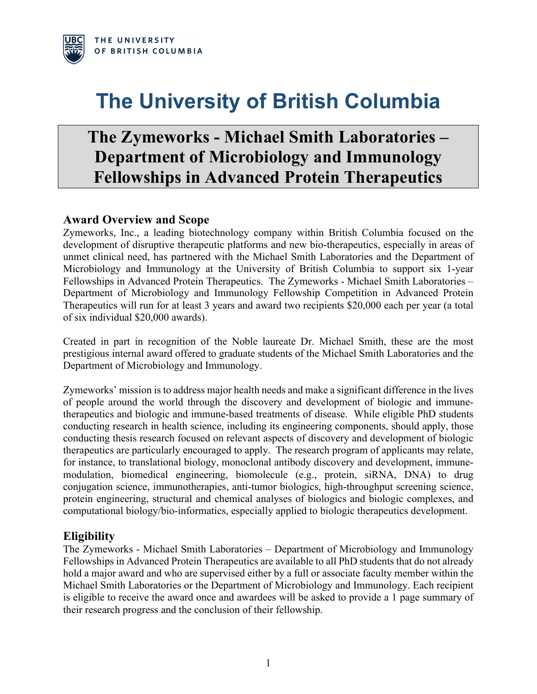

# **The University of British Columbia**

## **The Zymeworks - Michael Smith Laboratories – Department of Microbiology and Immunology Fellowships in Advanced Protein Therapeutics**

## **Award Overview and Scope**

Zymeworks, Inc., a leading biotechnology company within British Columbia focused on the development of disruptive therapeutic platforms and new bio-therapeutics, especially in areas of unmet clinical need, has partnered with the Michael Smith Laboratories and the Department of Microbiology and Immunology at the University of British Columbia to support six 1-year Fellowships in Advanced Protein Therapeutics. The Zymeworks - Michael Smith Laboratories – Department of Microbiology and Immunology Fellowship Competition in Advanced Protein Therapeutics will run for at least 3 years and award two recipients \$20,000 each per year (a total of six individual \$20,000 awards).

Created in part in recognition of the Noble laureate Dr. Michael Smith, these are the most prestigious internal award offered to graduate students of the Michael Smith Laboratories and the Department of Microbiology and Immunology.

Zymeworks' mission is to address major health needs and make a significant difference in the lives of people around the world through the discovery and development of biologic and immunetherapeutics and biologic and immune-based treatments of disease. While eligible PhD students conducting research in health science, including its engineering components, should apply, those conducting thesis research focused on relevant aspects of discovery and development of biologic therapeutics are particularly encouraged to apply. The research program of applicants may relate, for instance, to translational biology, monoclonal antibody discovery and development, immunemodulation, biomedical engineering, biomolecule (e.g., protein, siRNA, DNA) to drug conjugation science, immunotherapies, anti-tumor biologics, high-throughput screening science, protein engineering, structural and chemical analyses of biologics and biologic complexes, and computational biology/bio-informatics, especially applied to biologic therapeutics development.

### **Eligibility**

The Zymeworks - Michael Smith Laboratories – Department of Microbiology and Immunology Fellowships in Advanced Protein Therapeutics are available to all PhD students that do not already hold a major award and who are supervised either by a full or associate faculty member within the Michael Smith Laboratories or the Department of Microbiology and Immunology. Each recipient is eligible to receive the award once and awardees will be asked to provide a 1 page summary of their research progress and the conclusion of their fellowship.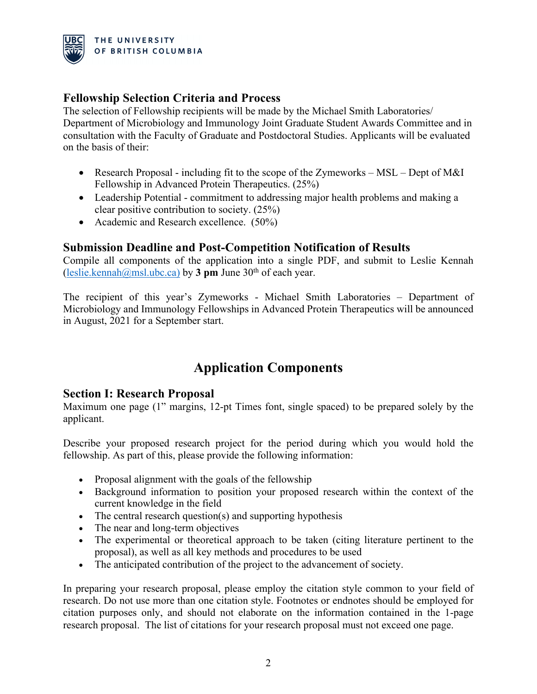

## **Fellowship Selection Criteria and Process**

The selection of Fellowship recipients will be made by the Michael Smith Laboratories/ Department of Microbiology and Immunology Joint Graduate Student Awards Committee and in consultation with the Faculty of Graduate and Postdoctoral Studies. Applicants will be evaluated on the basis of their:

- Research Proposal including fit to the scope of the Zymeworks MSL Dept of M&I Fellowship in Advanced Protein Therapeutics. (25%)
- Leadership Potential commitment to addressing major health problems and making a clear positive contribution to society. (25%)
- Academic and Research excellence. (50%)

## **Submission Deadline and Post-Competition Notification of Results**

Compile all components of the application into a single PDF, and submit to Leslie Kennah (leslie.kennah@msl.ubc.ca) by 3 pm June 30<sup>th</sup> of each year.

The recipient of this year's Zymeworks - Michael Smith Laboratories – Department of Microbiology and Immunology Fellowships in Advanced Protein Therapeutics will be announced in August, 2021 for a September start.

## **Application Components**

### **Section I: Research Proposal**

Maximum one page (1" margins, 12-pt Times font, single spaced) to be prepared solely by the applicant.

Describe your proposed research project for the period during which you would hold the fellowship. As part of this, please provide the following information:

- Proposal alignment with the goals of the fellowship
- Background information to position your proposed research within the context of the current knowledge in the field
- The central research question(s) and supporting hypothesis
- The near and long-term objectives
- The experimental or theoretical approach to be taken (citing literature pertinent to the proposal), as well as all key methods and procedures to be used
- The anticipated contribution of the project to the advancement of society.

In preparing your research proposal, please employ the citation style common to your field of research. Do not use more than one citation style. Footnotes or endnotes should be employed for citation purposes only, and should not elaborate on the information contained in the 1-page research proposal. The list of citations for your research proposal must not exceed one page.